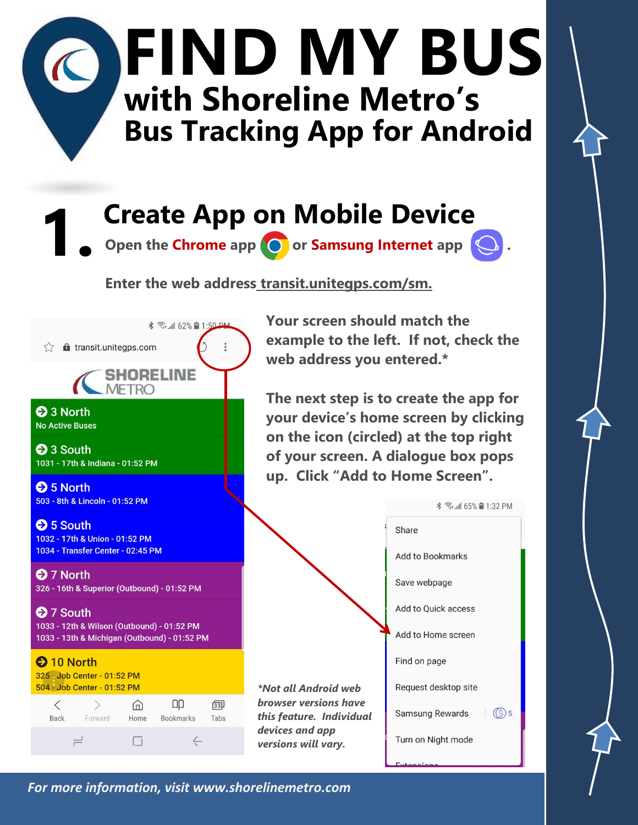## **FIND MY BUS with Shoreline Metro's Bus Tracking App for Android**

**1. Create App on Mobile Device** 

**Open the Chrome app <b>O** or Samsung Internet app  $\bigcirc$ .

**Enter the web address transit.unitegps.com/sm.**



**Your screen should match the example to the left. If not, check the web address you entered.\***

**The next step is to create the app for your device's home screen by clicking on the icon (circled) at the top right of your screen. A dialogue box pops up. Click "Add to Home Screen".** 



*For more information, visit www.shorelinemetro.com*